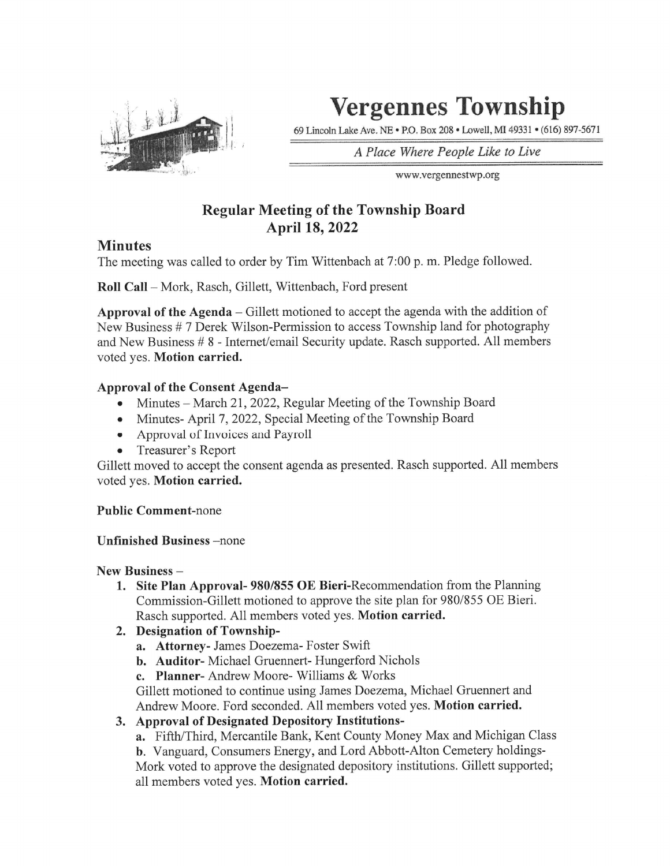

# Vergennes Township

69 Lincoln Lake Ave. NE • P.O. Box 208 • I^well, MI 49331 • (616) 897-5671

A Place Where People Like to Live

www.vergennestwp.org

## Regular Meeting of the Township Board April 18, 2022

### **Minutes**

The meeting was called to order by Tim Wittenbach at 7:00 p. m. Pledge followed.

Roll Call - Mork, Rasch, Gillett, Wittenbach, Ford present

Approval of the Agenda - Gillett motioned to accept the agenda with the addition of New Business # 7 Derek Wilson-Permission to access Township land for photography and New Business # 8 - Internet/email Security update. Rasch supported. All members voted yes. Motion carried.

#### Approval of the Consent Agenda-

- Minutes March 21, 2022, Regular Meeting of the Township Board
- Minutes- April 7, 2022, Special Meeting of the Township Board
- Approval of Invoices and Payroll
- Treasurer's Report  $\bullet$

Gillett moved to accept the consent agenda as presented. Rasch supported. All members voted yes. Motion carried.

Public Comment-none

Unfinished Business -none

#### New Business -

- 1. Site Plan Approval- 980/855 OE Bieri-Recommendation from the Planning Commission-Gillett motioned to approve the site plan for 980/855 OE Bieri. Rasch supported. All members voted yes. Motion carried.
- 2. Designation of Township
	- a. Attorney- James Doezema- Foster Swift
	- b. Auditor- Michael Gruennert- Hungerford Nichols
	- c. Planner- Andrew Moore- Williams & Works

Gillett motioned to continue using James Doezema, Michael Gruennert and Andrew Moore. Ford seconded. All members voted yes. Motion carried.

- 3. Approval of Designated Depository Institutions
	- a. Fifth/Third, Mercantile Bank, Kent County Money Max and Michigan Class

b. Vanguard, Consumers Energy, and Lord Abbott-Alton Cemetery holdings-Mark voted to approve the designated depository institutions. Gillett supported; all members voted yes. Motion carried.